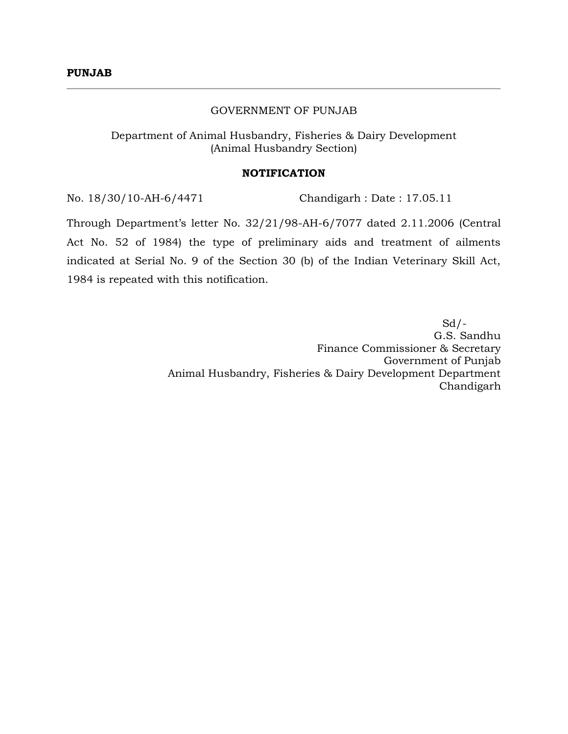#### GOVERNMENT OF PUNJAB

Department of Animal Husbandry, Fisheries & Dairy Development (Animal Husbandry Section)

#### **NOTIFICATION**

No. 18/30/10-AH-6/4471 Chandigarh : Date : 17.05.11

Through Department's letter No. 32/21/98-AH-6/7077 dated 2.11.2006 (Central Act No. 52 of 1984) the type of preliminary aids and treatment of ailments indicated at Serial No. 9 of the Section 30 (b) of the Indian Veterinary Skill Act, 1984 is repeated with this notification.

 $Sd/-\frac{1}{2}$ G.S. Sandhu Finance Commissioner & Secretary Government of Punjab Animal Husbandry, Fisheries & Dairy Development Department Chandigarh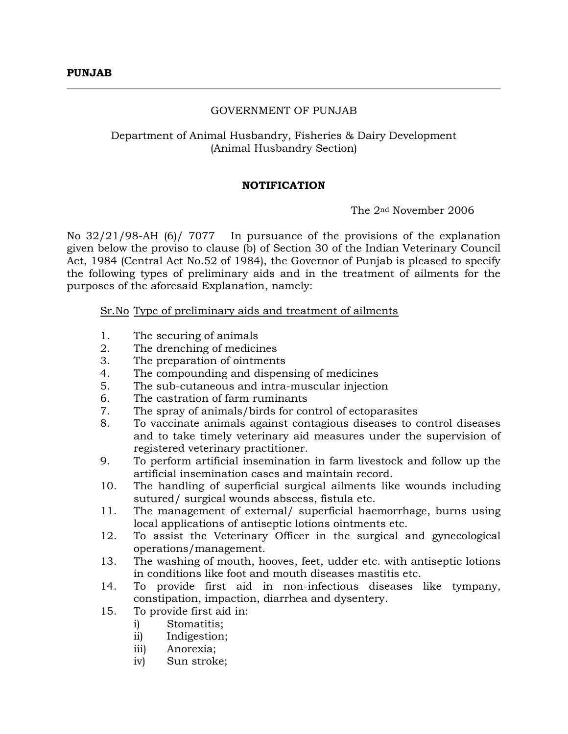### GOVERNMENT OF PUNJAB

# Department of Animal Husbandry, Fisheries & Dairy Development (Animal Husbandry Section)

### **NOTIFICATION**

The 2nd November 2006

No 32/21/98-AH (6)/ 7077 In pursuance of the provisions of the explanation given below the proviso to clause (b) of Section 30 of the Indian Veterinary Council Act, 1984 (Central Act No.52 of 1984), the Governor of Punjab is pleased to specify the following types of preliminary aids and in the treatment of ailments for the purposes of the aforesaid Explanation, namely:

Sr.No Type of preliminary aids and treatment of ailments

- 1. The securing of animals
- 2. The drenching of medicines
- 3. The preparation of ointments
- 4. The compounding and dispensing of medicines
- 5. The sub-cutaneous and intra-muscular injection
- 6. The castration of farm ruminants
- 7. The spray of animals/birds for control of ectoparasites
- 8. To vaccinate animals against contagious diseases to control diseases and to take timely veterinary aid measures under the supervision of registered veterinary practitioner.
- 9. To perform artificial insemination in farm livestock and follow up the artificial insemination cases and maintain record.
- 10. The handling of superficial surgical ailments like wounds including sutured/ surgical wounds abscess, fistula etc.
- 11. The management of external/ superficial haemorrhage, burns using local applications of antiseptic lotions ointments etc.
- 12. To assist the Veterinary Officer in the surgical and gynecological operations/management.
- 13. The washing of mouth, hooves, feet, udder etc. with antiseptic lotions in conditions like foot and mouth diseases mastitis etc.
- 14. To provide first aid in non-infectious diseases like tympany, constipation, impaction, diarrhea and dysentery.
- 15. To provide first aid in:
	- i) Stomatitis;
	- ii) Indigestion;
	- iii) Anorexia;
	- iv) Sun stroke;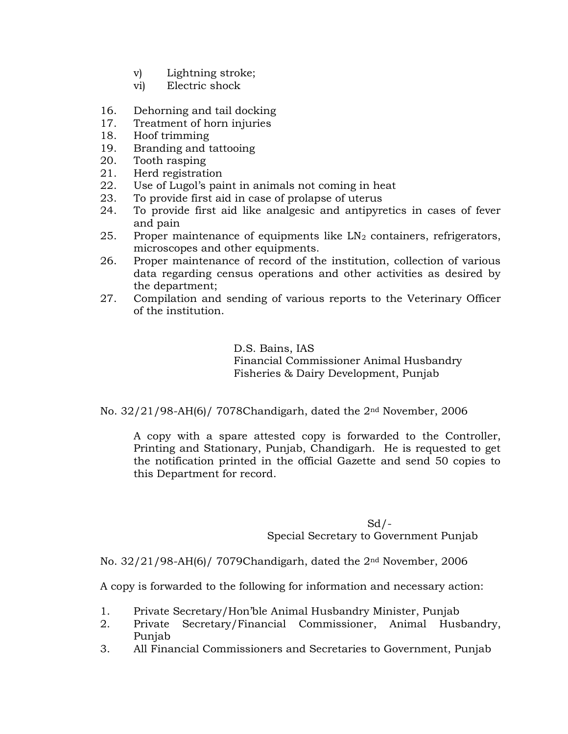- v) Lightning stroke;
- vi) Electric shock
- 16. Dehorning and tail docking
- 17. Treatment of horn injuries
- 18. Hoof trimming
- 19. Branding and tattooing
- 20. Tooth rasping
- 21. Herd registration
- 22. Use of Lugol's paint in animals not coming in heat
- 23. To provide first aid in case of prolapse of uterus
- 24. To provide first aid like analgesic and antipyretics in cases of fever and pain
- 25. Proper maintenance of equipments like  $LN<sub>2</sub>$  containers, refrigerators, microscopes and other equipments.
- 26. Proper maintenance of record of the institution, collection of various data regarding census operations and other activities as desired by the department;
- 27. Compilation and sending of various reports to the Veterinary Officer of the institution.

D.S. Bains, IAS Financial Commissioner Animal Husbandry Fisheries & Dairy Development, Punjab

No. 32/21/98-AH(6)/ 7078Chandigarh, dated the 2nd November, 2006

A copy with a spare attested copy is forwarded to the Controller, Printing and Stationary, Punjab, Chandigarh. He is requested to get the notification printed in the official Gazette and send 50 copies to this Department for record.

# $Sd/-$ Special Secretary to Government Punjab

No. 32/21/98-AH(6)/ 7079Chandigarh, dated the 2nd November, 2006

A copy is forwarded to the following for information and necessary action:

- 1. Private Secretary/Hon'ble Animal Husbandry Minister, Punjab
- 2. Private Secretary/Financial Commissioner, Animal Husbandry, Punjab
- 3. All Financial Commissioners and Secretaries to Government, Punjab